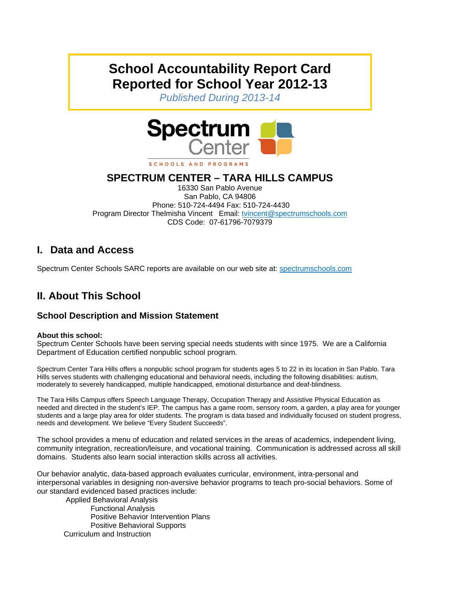# **School Accountability Report Card Reported for School Year 2012-13**

*Published During 2013-14* 



## **SPECTRUM CENTER – TARA HILLS CAMPUS**

16330 San Pablo Avenue San Pablo, CA 94806 Phone: 510-724-4494 Fax: 510-724-4430 Program Director Thelmisha Vincent Email: tvincent@spectrumschools.com CDS Code: 07-61796-7079379

## **I. Data and Access**

Spectrum Center Schools SARC reports are available on our web site at: spectrumschools.com

## **II. About This School**

## **School Description and Mission Statement**

#### **About this school:**

Spectrum Center Schools have been serving special needs students with since 1975. We are a California Department of Education certified nonpublic school program.

Spectrum Center Tara Hills offers a nonpublic school program for students ages 5 to 22 in its location in San Pablo. Tara Hills serves students with challenging educational and behavioral needs, including the following disabilities: autism, moderately to severely handicapped, multiple handicapped, emotional disturbance and deaf-blindness.

The Tara Hills Campus offers Speech Language Therapy, Occupation Therapy and Assistive Physical Education as needed and directed in the student's IEP. The campus has a game room, sensory room, a garden, a play area for younger students and a large play area for older students. The program is data based and individually focused on student progress, needs and development. We believe "Every Student Succeeds".

The school provides a menu of education and related services in the areas of academics, independent living, community integration, recreation/leisure, and vocational training. Communication is addressed across all skill domains. Students also learn social interaction skills across all activities.

Our behavior analytic, data-based approach evaluates curricular, environment, intra-personal and interpersonal variables in designing non-aversive behavior programs to teach pro-social behaviors. Some of our standard evidenced based practices include:

 Applied Behavioral Analysis Functional Analysis Positive Behavior Intervention Plans Positive Behavioral Supports Curriculum and Instruction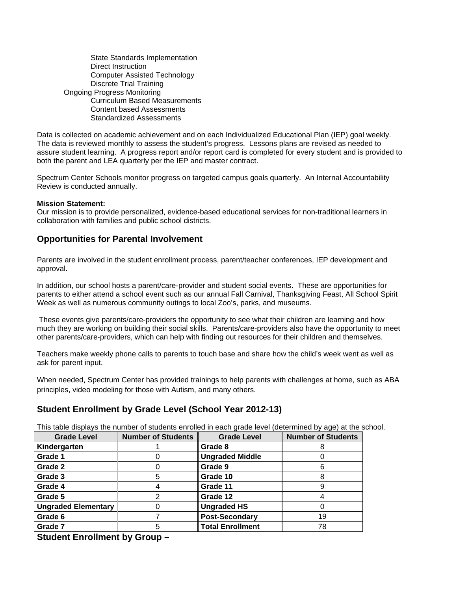State Standards Implementation Direct Instruction Computer Assisted Technology Discrete Trial Training Ongoing Progress Monitoring Curriculum Based Measurements Content based Assessments Standardized Assessments

Data is collected on academic achievement and on each Individualized Educational Plan (IEP) goal weekly. The data is reviewed monthly to assess the student's progress. Lessons plans are revised as needed to assure student learning. A progress report and/or report card is completed for every student and is provided to both the parent and LEA quarterly per the IEP and master contract.

Spectrum Center Schools monitor progress on targeted campus goals quarterly. An Internal Accountability Review is conducted annually.

#### **Mission Statement:**

Our mission is to provide personalized, evidence-based educational services for non-traditional learners in collaboration with families and public school districts.

#### **Opportunities for Parental Involvement**

Parents are involved in the student enrollment process, parent/teacher conferences, IEP development and approval.

In addition, our school hosts a parent/care-provider and student social events. These are opportunities for parents to either attend a school event such as our annual Fall Carnival, Thanksgiving Feast, All School Spirit Week as well as numerous community outings to local Zoo's, parks, and museums.

 These events give parents/care-providers the opportunity to see what their children are learning and how much they are working on building their social skills. Parents/care-providers also have the opportunity to meet other parents/care-providers, which can help with finding out resources for their children and themselves.

Teachers make weekly phone calls to parents to touch base and share how the child's week went as well as ask for parent input.

When needed, Spectrum Center has provided trainings to help parents with challenges at home, such as ABA principles, video modeling for those with Autism, and many others.

#### **Student Enrollment by Grade Level (School Year 2012-13)**

This table displays the number of students enrolled in each grade level (determined by age) at the school.

| <b>Grade Level</b>         | <b>Number of Students</b> | <b>Grade Level</b>      | <b>Number of Students</b> |
|----------------------------|---------------------------|-------------------------|---------------------------|
| Kindergarten               |                           | Grade 8                 |                           |
| Grade 1                    |                           | <b>Ungraded Middle</b>  |                           |
| Grade 2                    |                           | Grade 9                 |                           |
| Grade 3                    | 5                         | Grade 10                |                           |
| Grade 4                    |                           | Grade 11                |                           |
| Grade 5                    | 2                         | Grade 12                |                           |
| <b>Ungraded Elementary</b> | 0                         | <b>Ungraded HS</b>      |                           |
| Grade 6                    |                           | <b>Post-Secondary</b>   | 19                        |
| Grade 7                    | 5                         | <b>Total Enrollment</b> | 78                        |

**Student Enrollment by Group –**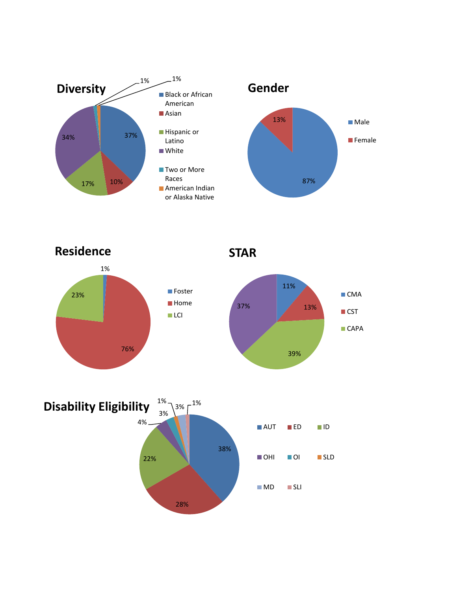

**Residence**

**STAR**



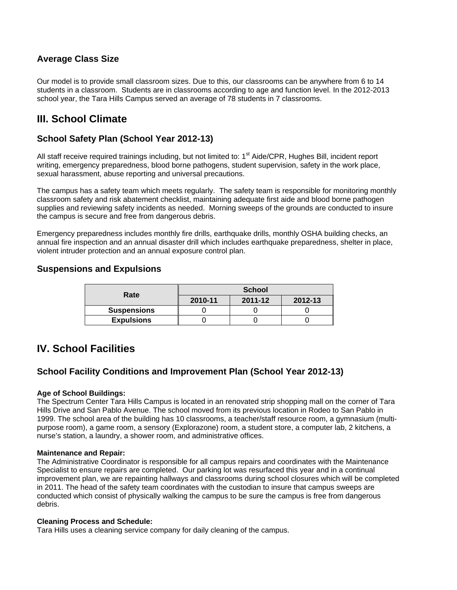### **Average Class Size**

Our model is to provide small classroom sizes. Due to this, our classrooms can be anywhere from 6 to 14 students in a classroom. Students are in classrooms according to age and function level. In the 2012-2013 school year, the Tara Hills Campus served an average of 78 students in 7 classrooms.

## **III. School Climate**

## **School Safety Plan (School Year 2012-13)**

All staff receive required trainings including, but not limited to: 1<sup>st</sup> Aide/CPR, Hughes Bill, incident report writing, emergency preparedness, blood borne pathogens, student supervision, safety in the work place, sexual harassment, abuse reporting and universal precautions.

The campus has a safety team which meets regularly. The safety team is responsible for monitoring monthly classroom safety and risk abatement checklist, maintaining adequate first aide and blood borne pathogen supplies and reviewing safety incidents as needed. Morning sweeps of the grounds are conducted to insure the campus is secure and free from dangerous debris.

Emergency preparedness includes monthly fire drills, earthquake drills, monthly OSHA building checks, an annual fire inspection and an annual disaster drill which includes earthquake preparedness, shelter in place, violent intruder protection and an annual exposure control plan.

#### **Suspensions and Expulsions**

| Rate               | <b>School</b> |         |         |  |
|--------------------|---------------|---------|---------|--|
|                    | 2010-11       | 2011-12 | 2012-13 |  |
| <b>Suspensions</b> |               |         |         |  |
| <b>Expulsions</b>  |               |         |         |  |

## **IV. School Facilities**

## **School Facility Conditions and Improvement Plan (School Year 2012-13)**

#### **Age of School Buildings:**

The Spectrum Center Tara Hills Campus is located in an renovated strip shopping mall on the corner of Tara Hills Drive and San Pablo Avenue. The school moved from its previous location in Rodeo to San Pablo in 1999. The school area of the building has 10 classrooms, a teacher/staff resource room, a gymnasium (multipurpose room), a game room, a sensory (Explorazone) room, a student store, a computer lab, 2 kitchens, a nurse's station, a laundry, a shower room, and administrative offices.

#### **Maintenance and Repair:**

The Administrative Coordinator is responsible for all campus repairs and coordinates with the Maintenance Specialist to ensure repairs are completed. Our parking lot was resurfaced this year and in a continual improvement plan, we are repainting hallways and classrooms during school closures which will be completed in 2011. The head of the safety team coordinates with the custodian to insure that campus sweeps are conducted which consist of physically walking the campus to be sure the campus is free from dangerous debris.

#### **Cleaning Process and Schedule:**

Tara Hills uses a cleaning service company for daily cleaning of the campus.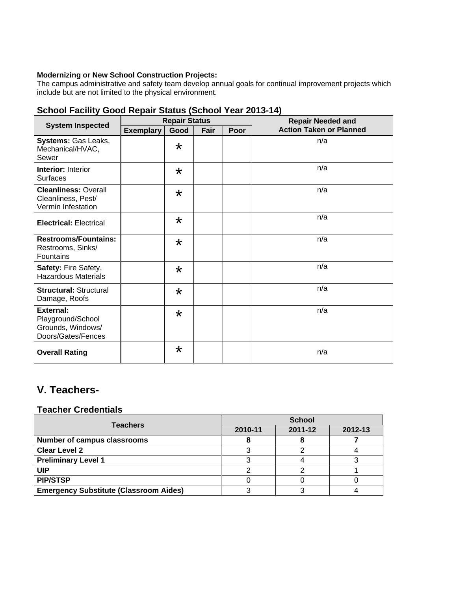## **Modernizing or New School Construction Projects:**

The campus administrative and safety team develop annual goals for continual improvement projects which include but are not limited to the physical environment.

|                                                                                  | <b>Repair Status</b> |         | $1000 \cdot 10000 \cdot 10000 \cdot 1000$ | <b>Repair Needed and</b> |                                |
|----------------------------------------------------------------------------------|----------------------|---------|-------------------------------------------|--------------------------|--------------------------------|
| <b>System Inspected</b>                                                          | <b>Exemplary</b>     | Good    | Fair                                      | Poor                     | <b>Action Taken or Planned</b> |
| Systems: Gas Leaks,<br>Mechanical/HVAC,<br>Sewer                                 |                      | $\star$ |                                           |                          | n/a                            |
| <b>Interior: Interior</b><br><b>Surfaces</b>                                     |                      | $\star$ |                                           |                          | n/a                            |
| <b>Cleanliness: Overall</b><br>Cleanliness, Pest/<br>Vermin Infestation          |                      | $\star$ |                                           |                          | n/a                            |
| <b>Electrical: Electrical</b>                                                    |                      | $\star$ |                                           |                          | n/a                            |
| <b>Restrooms/Fountains:</b><br>Restrooms, Sinks/<br>Fountains                    |                      | $\star$ |                                           |                          | n/a                            |
| Safety: Fire Safety,<br><b>Hazardous Materials</b>                               |                      | $\star$ |                                           |                          | n/a                            |
| <b>Structural: Structural</b><br>Damage, Roofs                                   |                      | $\star$ |                                           |                          | n/a                            |
| <b>External:</b><br>Playground/School<br>Grounds, Windows/<br>Doors/Gates/Fences |                      | $\star$ |                                           |                          | n/a                            |
| <b>Overall Rating</b>                                                            |                      | $\star$ |                                           |                          | n/a                            |

## **School Facility Good Repair Status (School Year 2013-14)**

## **V. Teachers-**

## **Teacher Credentials**

| <b>Teachers</b>                               | <b>School</b> |         |         |  |
|-----------------------------------------------|---------------|---------|---------|--|
|                                               | 2010-11       | 2011-12 | 2012-13 |  |
| <b>Number of campus classrooms</b>            |               |         |         |  |
| <b>Clear Level 2</b>                          |               |         |         |  |
| <b>Preliminary Level 1</b>                    |               |         |         |  |
| <b>UIP</b>                                    |               |         |         |  |
| <b>PIP/STSP</b>                               |               |         |         |  |
| <b>Emergency Substitute (Classroom Aides)</b> |               |         |         |  |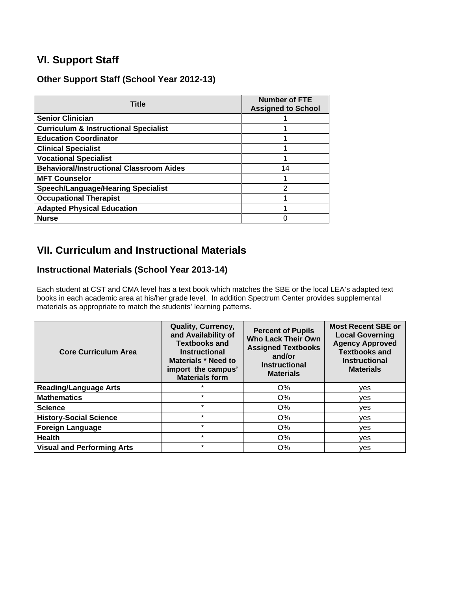## **VI. Support Staff**

## **Other Support Staff (School Year 2012-13)**

| Title                                            | <b>Number of FTE</b><br><b>Assigned to School</b> |
|--------------------------------------------------|---------------------------------------------------|
| <b>Senior Clinician</b>                          |                                                   |
| <b>Curriculum &amp; Instructional Specialist</b> |                                                   |
| <b>Education Coordinator</b>                     |                                                   |
| <b>Clinical Specialist</b>                       |                                                   |
| <b>Vocational Specialist</b>                     |                                                   |
| <b>Behavioral/Instructional Classroom Aides</b>  | 14                                                |
| <b>MFT Counselor</b>                             |                                                   |
| <b>Speech/Language/Hearing Specialist</b>        | 2                                                 |
| <b>Occupational Therapist</b>                    |                                                   |
| <b>Adapted Physical Education</b>                |                                                   |
| <b>Nurse</b>                                     |                                                   |

## **VII. Curriculum and Instructional Materials**

## **Instructional Materials (School Year 2013-14)**

Each student at CST and CMA level has a text book which matches the SBE or the local LEA's adapted text books in each academic area at his/her grade level. In addition Spectrum Center provides supplemental materials as appropriate to match the students' learning patterns.

| <b>Core Curriculum Area</b>       | <b>Quality, Currency,</b><br>and Availability of<br><b>Textbooks and</b><br><b>Instructional</b><br><b>Materials * Need to</b><br>import the campus'<br><b>Materials form</b> | <b>Percent of Pupils</b><br><b>Who Lack Their Own</b><br><b>Assigned Textbooks</b><br>and/or<br><b>Instructional</b><br><b>Materials</b> | <b>Most Recent SBE or</b><br><b>Local Governing</b><br><b>Agency Approved</b><br><b>Textbooks and</b><br><b>Instructional</b><br><b>Materials</b> |
|-----------------------------------|-------------------------------------------------------------------------------------------------------------------------------------------------------------------------------|------------------------------------------------------------------------------------------------------------------------------------------|---------------------------------------------------------------------------------------------------------------------------------------------------|
| <b>Reading/Language Arts</b>      | $\star$                                                                                                                                                                       | O%                                                                                                                                       | yes                                                                                                                                               |
| <b>Mathematics</b>                | $\star$                                                                                                                                                                       | O%                                                                                                                                       | yes                                                                                                                                               |
| <b>Science</b>                    | $\star$                                                                                                                                                                       | $O\%$                                                                                                                                    | ves                                                                                                                                               |
| <b>History-Social Science</b>     | $\star$                                                                                                                                                                       | $O\%$                                                                                                                                    | yes                                                                                                                                               |
| <b>Foreign Language</b>           | $\star$                                                                                                                                                                       | $O\%$                                                                                                                                    | yes                                                                                                                                               |
| <b>Health</b>                     | $\star$                                                                                                                                                                       | $O\%$                                                                                                                                    | <b>ves</b>                                                                                                                                        |
| <b>Visual and Performing Arts</b> | $\star$                                                                                                                                                                       | $O\%$                                                                                                                                    | yes                                                                                                                                               |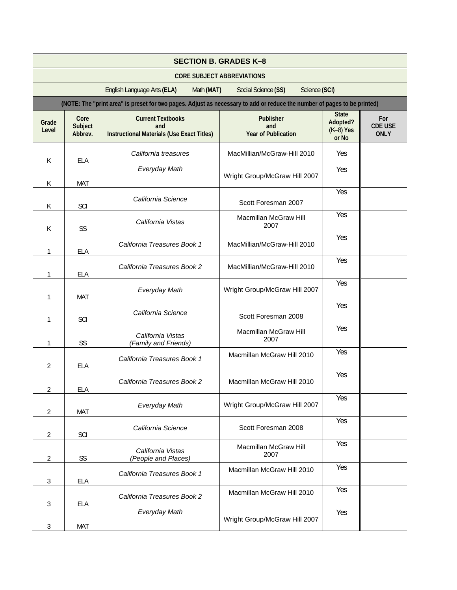|                |                                                                                   |                                                                                                                          | <b>SECTION B. GRADES K-8</b>                   |                                                  |                                      |  |  |  |
|----------------|-----------------------------------------------------------------------------------|--------------------------------------------------------------------------------------------------------------------------|------------------------------------------------|--------------------------------------------------|--------------------------------------|--|--|--|
|                |                                                                                   |                                                                                                                          | <b>CORE SUBJECT ABBREVIATIONS</b>              |                                                  |                                      |  |  |  |
|                | Social Science (SS)<br>Science (SCI)<br>English Language Arts (ELA)<br>Math (MAT) |                                                                                                                          |                                                |                                                  |                                      |  |  |  |
|                |                                                                                   | (NOTE: The "print area" is preset for two pages. Adjust as necessary to add or reduce the number of pages to be printed) |                                                |                                                  |                                      |  |  |  |
| Grade<br>Level | Core<br>Subject<br>Abbrev.                                                        | <b>Current Textbooks</b><br>and<br><b>Instructional Materials (Use Exact Titles)</b>                                     | Publisher<br>and<br><b>Year of Publication</b> | <b>State</b><br>Adopted?<br>$(K-8)$ Yes<br>or No | For<br><b>CDE USE</b><br><b>ONLY</b> |  |  |  |
| К              | <b>ELA</b>                                                                        | California treasures                                                                                                     | MacMillian/McGraw-Hill 2010                    | Yes                                              |                                      |  |  |  |
| К              | MAT                                                                               | Everyday Math                                                                                                            | Wright Group/McGraw Hill 2007                  | Yes                                              |                                      |  |  |  |
| К              | SCI                                                                               | California Science                                                                                                       | Scott Foresman 2007                            | Yes                                              |                                      |  |  |  |
| К              | SS                                                                                | California Vistas                                                                                                        | Macmillan McGraw Hill<br>2007                  | Yes                                              |                                      |  |  |  |
|                | <b>ELA</b>                                                                        | California Treasures Book 1                                                                                              | MacMillian/McGraw-Hill 2010                    | Yes                                              |                                      |  |  |  |
|                | <b>ELA</b>                                                                        | California Treasures Book 2                                                                                              | MacMillian/McGraw-Hill 2010                    | Yes                                              |                                      |  |  |  |
|                | <b>MAT</b>                                                                        | Everyday Math                                                                                                            | Wright Group/McGraw Hill 2007                  | Yes                                              |                                      |  |  |  |
|                | SCI                                                                               | California Science                                                                                                       | Scott Foresman 2008                            | Yes                                              |                                      |  |  |  |
|                | SS                                                                                | California Vistas<br>(Family and Friends)                                                                                | Macmillan McGraw Hill<br>2007                  | Yes                                              |                                      |  |  |  |
| 2              | <b>ELA</b>                                                                        | California Treasures Book 1                                                                                              | Macmillan McGraw Hill 2010                     | Yes                                              |                                      |  |  |  |
| 2              | <b>ELA</b>                                                                        | California Treasures Book 2                                                                                              | Macmillan McGraw Hill 2010                     | Yes                                              |                                      |  |  |  |
| 2              | MAT                                                                               | Everyday Math                                                                                                            | Wright Group/McGraw Hill 2007                  | Yes                                              |                                      |  |  |  |
| 2              | SCI                                                                               | California Science                                                                                                       | Scott Foresman 2008                            | Yes                                              |                                      |  |  |  |
| 2              | SS                                                                                | California Vistas<br>(People and Places)                                                                                 | Macmillan McGraw Hill<br>2007                  | Yes                                              |                                      |  |  |  |
| 3              | <b>ELA</b>                                                                        | California Treasures Book 1                                                                                              | Macmillan McGraw Hill 2010                     | Yes                                              |                                      |  |  |  |
| 3              | ELA                                                                               | California Treasures Book 2                                                                                              | Macmillan McGraw Hill 2010                     | Yes                                              |                                      |  |  |  |
| 3              | MAT                                                                               | Everyday Math                                                                                                            | Wright Group/McGraw Hill 2007                  | Yes                                              |                                      |  |  |  |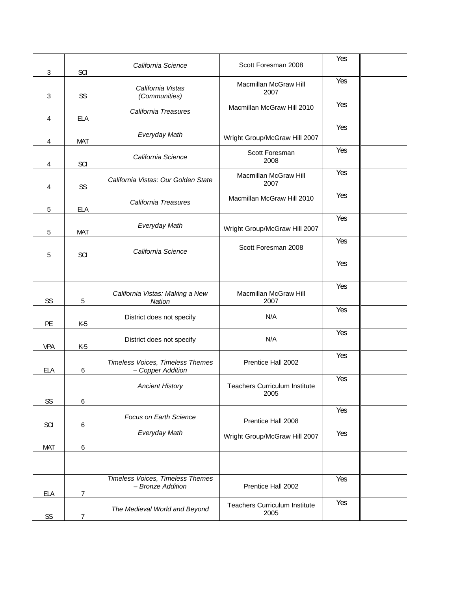| 3          | SCI            | California Science                                    | Scott Foresman 2008                          | Yes |
|------------|----------------|-------------------------------------------------------|----------------------------------------------|-----|
| 3          | SS             | California Vistas<br>(Communities)                    | Macmillan McGraw Hill<br>2007                | Yes |
| 4          | <b>ELA</b>     | California Treasures                                  | Macmillan McGraw Hill 2010                   | Yes |
| 4          | MAT            | Everyday Math                                         | Wright Group/McGraw Hill 2007                | Yes |
| 4          | SCI            | California Science                                    | Scott Foresman<br>2008                       | Yes |
| 4          | SS             | California Vistas: Our Golden State                   | Macmillan McGraw Hill<br>2007                | Yes |
| 5          | <b>ELA</b>     | California Treasures                                  | Macmillan McGraw Hill 2010                   | Yes |
| 5          | MAT            | Everyday Math                                         | Wright Group/McGraw Hill 2007                | Yes |
| 5          | SCI            | California Science                                    | Scott Foresman 2008                          | Yes |
|            |                |                                                       |                                              | Yes |
| SS         | 5              | California Vistas: Making a New<br><b>Nation</b>      | Macmillan McGraw Hill<br>2007                | Yes |
| PE         | $K-5$          | District does not specify                             | N/A                                          | Yes |
| <b>VPA</b> | $K-5$          | District does not specify                             | N/A                                          | Yes |
| ELA        | 6              | Timeless Voices, Timeless Themes<br>- Copper Addition | Prentice Hall 2002                           | Yes |
|            |                | <b>Ancient History</b>                                | <b>Teachers Curriculum Institute</b><br>2005 | Yes |
| SS         | 6              |                                                       |                                              |     |
| SCI        | 6              | Focus on Earth Science                                | Prentice Hall 2008                           | Yes |
| MAT        | 6              | Everyday Math                                         | Wright Group/McGraw Hill 2007                | Yes |
|            |                |                                                       |                                              |     |
| <b>ELA</b> | 7              | Timeless Voices, Timeless Themes<br>- Bronze Addition | Prentice Hall 2002                           | Yes |
| SS         | $\overline{7}$ | The Medieval World and Beyond                         | <b>Teachers Curriculum Institute</b><br>2005 | Yes |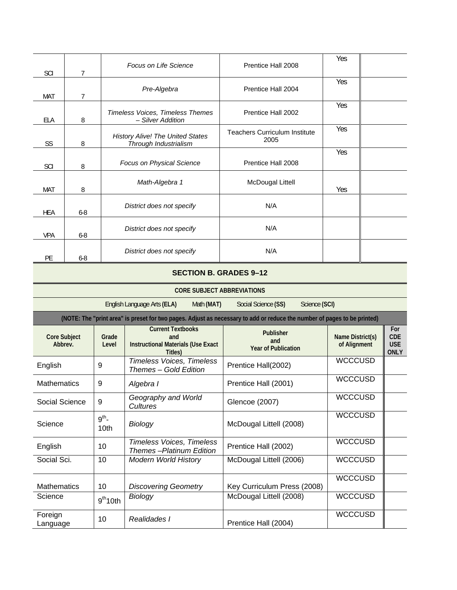| SCI        | 7              | <b>Focus on Life Science</b>                                     | Prentice Hall 2008                           | Yes |  |
|------------|----------------|------------------------------------------------------------------|----------------------------------------------|-----|--|
| MAT        | $\overline{7}$ | Pre-Algebra                                                      | Prentice Hall 2004                           | Yes |  |
| ELA        | 8              | Timeless Voices, Timeless Themes<br>- Silver Addition            | Prentice Hall 2002                           | Yes |  |
| SS         | 8              | <b>History Alive! The United States</b><br>Through Industrialism | <b>Teachers Curriculum Institute</b><br>2005 | Yes |  |
| SCI        | 8              | Focus on Physical Science                                        | Prentice Hall 2008                           | Yes |  |
| MAT        | 8              | Math-Algebra 1                                                   | <b>McDougal Littell</b>                      | Yes |  |
| HEA        | $6 - 8$        | District does not specify                                        | N/A                                          |     |  |
| <b>VPA</b> | $6 - 8$        | District does not specify                                        | N/A                                          |     |  |
| <b>PE</b>  | $6 - 8$        | District does not specify                                        | N/A                                          |     |  |

#### **SECTION B. GRADES 9–12**

| <b>CORE SUBJECT ABBREVIATIONS</b> |                                                                                                                          |                                                                                         |                                                       |                                  |                                                |
|-----------------------------------|--------------------------------------------------------------------------------------------------------------------------|-----------------------------------------------------------------------------------------|-------------------------------------------------------|----------------------------------|------------------------------------------------|
|                                   |                                                                                                                          | English Language Arts (ELA)<br>Math (MAT)                                               | Social Science (SS)<br>Science (SCI)                  |                                  |                                                |
|                                   | (NOTE: The "print area" is preset for two pages. Adjust as necessary to add or reduce the number of pages to be printed) |                                                                                         |                                                       |                                  |                                                |
| <b>Core Subject</b><br>Abbrev.    | Grade<br>Level                                                                                                           | <b>Current Textbooks</b><br>and<br><b>Instructional Materials (Use Exact</b><br>Titles) | <b>Publisher</b><br>and<br><b>Year of Publication</b> | Name District(s)<br>of Alignment | For<br><b>CDE</b><br><b>USE</b><br><b>ONLY</b> |
| English                           | 9                                                                                                                        | Timeless Voices, Timeless<br>Themes - Gold Edition                                      | Prentice Hall(2002)                                   | <b>WCCCUSD</b>                   |                                                |
| <b>Mathematics</b>                | 9                                                                                                                        | Algebra I                                                                               | Prentice Hall (2001)                                  | <b>WCCCUSD</b>                   |                                                |
| Social Science                    | 9                                                                                                                        | Geography and World<br>Cultures                                                         | <b>Glencoe (2007)</b>                                 | <b>WCCCUSD</b>                   |                                                |
| Science                           | $9th$ -<br>10 <sub>th</sub>                                                                                              | Biology                                                                                 | McDougal Littell (2008)                               | <b>WCCCUSD</b>                   |                                                |
| English                           | 10                                                                                                                       | <b>Timeless Voices, Timeless</b><br>Themes - Platinum Edition                           | Prentice Hall (2002)                                  | <b>WCCCUSD</b>                   |                                                |
| Social Sci.                       | 10                                                                                                                       | <b>Modern World History</b>                                                             | McDougal Littell (2006)                               | <b>WCCCUSD</b>                   |                                                |
| <b>Mathematics</b>                | 10                                                                                                                       | <b>Discovering Geometry</b>                                                             | Key Curriculum Press (2008)                           | <b>WCCCUSD</b>                   |                                                |
| Science                           | 9 <sup>th</sup> 10th                                                                                                     | Biology                                                                                 | McDougal Littell (2008)                               | <b>WCCCUSD</b>                   |                                                |
| Foreign<br>Language               | 10                                                                                                                       | Realidades I                                                                            | Prentice Hall (2004)                                  | <b>WCCCUSD</b>                   |                                                |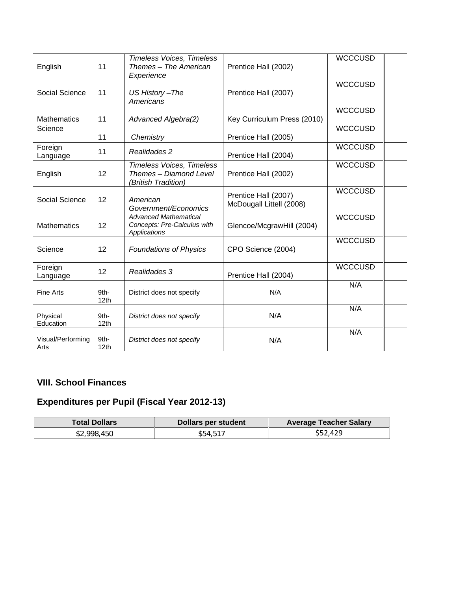| English                   | 11                                  | <b>Timeless Voices, Timeless</b><br>Themes - The American<br>Experience     | Prentice Hall (2002)                             | <b>WCCCUSD</b> |
|---------------------------|-------------------------------------|-----------------------------------------------------------------------------|--------------------------------------------------|----------------|
| Social Science            | 11                                  | US History - The<br>Americans                                               | Prentice Hall (2007)                             | <b>WCCCUSD</b> |
| <b>Mathematics</b>        | 11                                  | Advanced Algebra(2)                                                         | Key Curriculum Press (2010)                      | <b>WCCCUSD</b> |
| Science                   | 11                                  | Chemistry                                                                   | Prentice Hall (2005)                             | <b>WCCCUSD</b> |
| Foreign<br>Language       | 11                                  | Realidades 2                                                                | Prentice Hall (2004)                             | <b>WCCCUSD</b> |
| English                   | 12                                  | Timeless Voices, Timeless<br>Themes - Diamond Level<br>(British Tradition)  | Prentice Hall (2002)                             | <b>WCCCUSD</b> |
| Social Science            | 12                                  | American<br>Government/Economics                                            | Prentice Hall (2007)<br>McDougall Littell (2008) | <b>WCCCUSD</b> |
| <b>Mathematics</b>        | 12                                  | <b>Advanced Mathematical</b><br>Concepts: Pre-Calculus with<br>Applications | Glencoe/McgrawHill (2004)                        | <b>WCCCUSD</b> |
| Science                   | 12                                  | <b>Foundations of Physics</b>                                               | CPO Science (2004)                               | <b>WCCCUSD</b> |
| Foreign<br>Language       | 12                                  | Realidades 3                                                                | Prentice Hall (2004)                             | <b>WCCCUSD</b> |
| Fine Arts                 | 9th-<br>12th                        | District does not specify                                                   | N/A                                              | N/A            |
| Physical<br>Education     | 9th-<br>12 <sub>th</sub>            | District does not specify                                                   | N/A                                              | N/A            |
| Visual/Performing<br>Arts | 9 <sub>th</sub><br>12 <sub>th</sub> | District does not specify                                                   | N/A                                              | N/A            |

## **VIII. School Finances**

## **Expenditures per Pupil (Fiscal Year 2012-13)**

| Total Dollars I | Dollars per student | <b>Average Teacher Salary</b> |
|-----------------|---------------------|-------------------------------|
| \$2,998,450     | \$54,517            | \$52,429                      |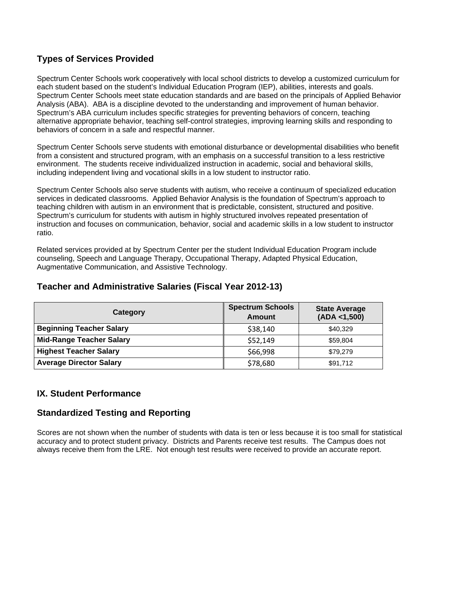## **Types of Services Provided**

Spectrum Center Schools work cooperatively with local school districts to develop a customized curriculum for each student based on the student's Individual Education Program (IEP), abilities, interests and goals. Spectrum Center Schools meet state education standards and are based on the principals of Applied Behavior Analysis (ABA). ABA is a discipline devoted to the understanding and improvement of human behavior. Spectrum's ABA curriculum includes specific strategies for preventing behaviors of concern, teaching alternative appropriate behavior, teaching self-control strategies, improving learning skills and responding to behaviors of concern in a safe and respectful manner.

Spectrum Center Schools serve students with emotional disturbance or developmental disabilities who benefit from a consistent and structured program, with an emphasis on a successful transition to a less restrictive environment. The students receive individualized instruction in academic, social and behavioral skills, including independent living and vocational skills in a low student to instructor ratio.

Spectrum Center Schools also serve students with autism, who receive a continuum of specialized education services in dedicated classrooms. Applied Behavior Analysis is the foundation of Spectrum's approach to teaching children with autism in an environment that is predictable, consistent, structured and positive. Spectrum's curriculum for students with autism in highly structured involves repeated presentation of instruction and focuses on communication, behavior, social and academic skills in a low student to instructor ratio.

Related services provided at by Spectrum Center per the student Individual Education Program include counseling, Speech and Language Therapy, Occupational Therapy, Adapted Physical Education, Augmentative Communication, and Assistive Technology.

| Category                        | <b>Spectrum Schools</b><br>Amount | <b>State Average</b><br>(ADA < 1,500) |
|---------------------------------|-----------------------------------|---------------------------------------|
| <b>Beginning Teacher Salary</b> | \$38,140                          | \$40.329                              |
| <b>Mid-Range Teacher Salary</b> | \$52,149                          | \$59,804                              |
| <b>Highest Teacher Salary</b>   | \$66,998                          | \$79.279                              |
| <b>Average Director Salary</b>  | \$78,680                          | \$91,712                              |

#### **Teacher and Administrative Salaries (Fiscal Year 2012-13)**

#### **IX. Student Performance**

## **Standardized Testing and Reporting**

Scores are not shown when the number of students with data is ten or less because it is too small for statistical accuracy and to protect student privacy. Districts and Parents receive test results. The Campus does not always receive them from the LRE. Not enough test results were received to provide an accurate report.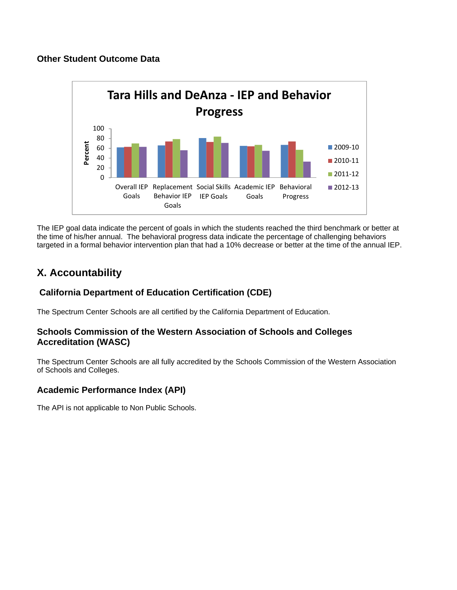#### **Other Student Outcome Data**



The IEP goal data indicate the percent of goals in which the students reached the third benchmark or better at the time of his/her annual. The behavioral progress data indicate the percentage of challenging behaviors targeted in a formal behavior intervention plan that had a 10% decrease or better at the time of the annual IEP.

## **X. Accountability**

## **California Department of Education Certification (CDE)**

The Spectrum Center Schools are all certified by the California Department of Education.

## **Schools Commission of the Western Association of Schools and Colleges Accreditation (WASC)**

The Spectrum Center Schools are all fully accredited by the Schools Commission of the Western Association of Schools and Colleges.

## **Academic Performance Index (API)**

The API is not applicable to Non Public Schools.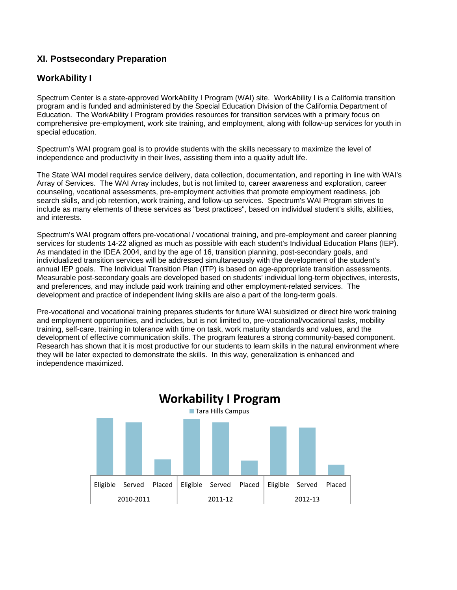## **XI. Postsecondary Preparation**

## **WorkAbility I**

Spectrum Center is a state-approved WorkAbility I Program (WAI) site. WorkAbility I is a California transition program and is funded and administered by the Special Education Division of the California Department of Education. The WorkAbility I Program provides resources for transition services with a primary focus on comprehensive pre-employment, work site training, and employment, along with follow-up services for youth in special education.

Spectrum's WAI program goal is to provide students with the skills necessary to maximize the level of independence and productivity in their lives, assisting them into a quality adult life.

The State WAI model requires service delivery, data collection, documentation, and reporting in line with WAI's Array of Services. The WAI Array includes, but is not limited to, career awareness and exploration, career counseling, vocational assessments, pre-employment activities that promote employment readiness, job search skills, and job retention, work training, and follow-up services. Spectrum's WAI Program strives to include as many elements of these services as "best practices", based on individual student's skills, abilities, and interests.

Spectrum's WAI program offers pre-vocational / vocational training, and pre-employment and career planning services for students 14-22 aligned as much as possible with each student's Individual Education Plans (IEP). As mandated in the IDEA 2004, and by the age of 16, transition planning, post-secondary goals, and individualized transition services will be addressed simultaneously with the development of the student's annual IEP goals. The Individual Transition Plan (ITP) is based on age-appropriate transition assessments. Measurable post-secondary goals are developed based on students' individual long-term objectives, interests, and preferences, and may include paid work training and other employment-related services. The development and practice of independent living skills are also a part of the long-term goals.

Pre-vocational and vocational training prepares students for future WAI subsidized or direct hire work training and employment opportunities, and includes, but is not limited to, pre-vocational/vocational tasks, mobility training, self-care, training in tolerance with time on task, work maturity standards and values, and the development of effective communication skills. The program features a strong community-based component. Research has shown that it is most productive for our students to learn skills in the natural environment where they will be later expected to demonstrate the skills. In this way, generalization is enhanced and independence maximized.